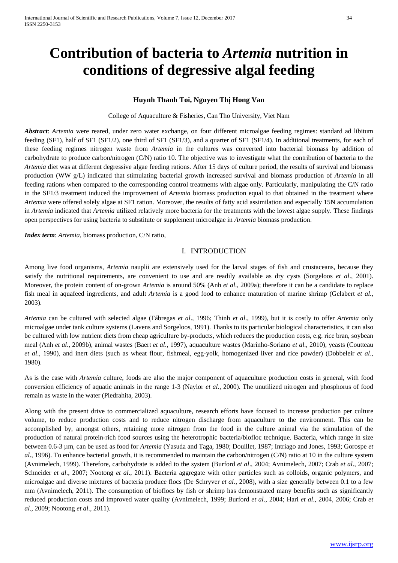# **Contribution of bacteria to** *Artemia* **nutrition in conditions of degressive algal feeding**

# **Huynh Thanh Toi, Nguyen Thị Hong Van**

College of Aquaculture & Fisheries, Can Tho University, Viet Nam

*Abstract*: *Artemia* were reared, under zero water exchange, on four different microalgae feeding regimes: standard ad libitum feeding (SF1), half of SF1 (SF1/2), one third of SF1 (SF1/3), and a quarter of SF1 (SF1/4). In additional treatments, for each of these feeding regimes nitrogen waste from *Artemia* in the cultures was converted into bacterial biomass by addition of carbohydrate to produce carbon/nitrogen (C/N) ratio 10. The objective was to investigate what the contribution of bacteria to the *Artemia* diet was at different degressive algae feeding rations. After 15 days of culture period, the results of survival and biomass production (WW g/L) indicated that stimulating bacterial growth increased survival and biomass production of *Artemia* in all feeding rations when compared to the corresponding control treatments with algae only. Particularly, manipulating the C/N ratio in the SF1/3 treatment induced the improvement of *Artemia* biomass production equal to that obtained in the treatment where *Artemia* were offered solely algae at SF1 ration. Moreover, the results of fatty acid assimilation and especially 15N accumulation in *Artemia* indicated that *Artemia* utilized relatively more bacteria for the treatments with the lowest algae supply. These findings open perspectives for using bacteria to substitute or supplement microalgae in *Artemia* biomass production.

*Index term*: *Artemia*, biomass production, C/N ratio,

## I. INTRODUCTION

Among live food organisms, *Artemia* nauplii are extensively used for the larval stages of fish and crustaceans, because they satisfy the nutritional requirements, are convenient to use and are readily available as dry cysts (Sorgeloos *et al*., 2001). Moreover, the protein content of on-grown *Artemia* is around 50% (Anh *et al*., 2009a); therefore it can be a candidate to replace fish meal in aquafeed ingredients, and adult *Artemia* is a good food to enhance maturation of marine shrimp (Gelabert *et al*., 2003).

*Artemia* can be cultured with selected algae (Fábregas *et al*., 1996; Thinh *et al*., 1999), but it is costly to offer *Artemia* only microalgae under tank culture systems (Lavens and Sorgeloos, 1991). Thanks to its particular biological characteristics, it can also be cultured with low nutrient diets from cheap agriculture by-products, which reduces the production costs, e.g. rice bran, soybean meal (Anh *et al*., 2009b), animal wastes (Baert *et al*., 1997), aquaculture wastes (Marinho-Soriano *et al*., 2010), yeasts (Coutteau *et al*., 1990), and inert diets (such as wheat flour, fishmeal, egg-yolk, homogenized liver and rice powder) (Dobbeleir *et al*., 1980).

As is the case with *Artemia* culture, foods are also the major component of aquaculture production costs in general, with food conversion efficiency of aquatic animals in the range 1-3 (Naylor *et al*., 2000). The unutilized nitrogen and phosphorus of food remain as waste in the water (Piedrahita, 2003).

Along with the present drive to commercialized aquaculture, research efforts have focused to increase production per culture volume, to reduce production costs and to reduce nitrogen discharge from aquaculture to the environment. This can be accomplished by, amongst others, retaining more nitrogen from the food in the culture animal via the stimulation of the production of natural protein-rich food sources using the heterotrophic bacteria/biofloc technique. Bacteria, which range in size between 0.6-3 µm, can be used as food for *Artemia* (Yasuda and Taga, 1980; Douillet, 1987; Intriago and Jones, 1993; Gorospe *et al*., 1996). To enhance bacterial growth, it is recommended to maintain the carbon/nitrogen (C/N) ratio at 10 in the culture system (Avnimelech, 1999). Therefore, carbohydrate is added to the system (Burford *et al*., 2004; Avnimelech, 2007; Crab *et al*., 2007; Schneider *et al*., 2007; Nootong *et al*., 2011). Bacteria aggregate with other particles such as colloids, organic polymers, and microalgae and diverse mixtures of bacteria produce flocs (De Schryver *et al*., 2008), with a size generally between 0.1 to a few mm (Avnimelech, 2011). The consumption of bioflocs by fish or shrimp has demonstrated many benefits such as significantly reduced production costs and improved water quality (Avnimelech, 1999; Burford *et al*., 2004; Hari *et al*., 2004, 2006; Crab *et al*., 2009; Nootong *et al*., 2011).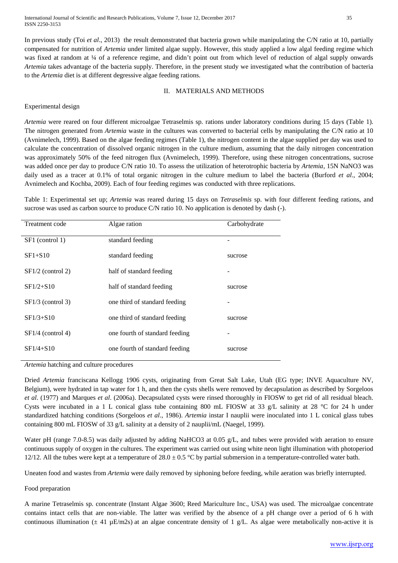International Journal of Scientific and Research Publications, Volume 7, Issue 12, December 2017 35 ISSN 2250-3153

In previous study (Toi *et al*., 2013) the result demonstrated that bacteria grown while manipulating the C/N ratio at 10, partially compensated for nutrition of *Artemia* under limited algae supply. However, this study applied a low algal feeding regime which was fixed at random at ¼ of a reference regime, and didn't point out from which level of reduction of algal supply onwards *Artemia* takes advantage of the bacteria supply. Therefore, in the present study we investigated what the contribution of bacteria to the *Artemia* diet is at different degressive algae feeding rations.

## II. MATERIALS AND METHODS

# Experimental design

*Artemia* were reared on four different microalgae Tetraselmis sp. rations under laboratory conditions during 15 days (Table 1). The nitrogen generated from *Artemia* waste in the cultures was converted to bacterial cells by manipulating the C/N ratio at 10 (Avnimelech, 1999). Based on the algae feeding regimes (Table 1), the nitrogen content in the algae supplied per day was used to calculate the concentration of dissolved organic nitrogen in the culture medium, assuming that the daily nitrogen concentration was approximately 50% of the feed nitrogen flux (Avnimelech, 1999). Therefore, using these nitrogen concentrations, sucrose was added once per day to produce C/N ratio 10. To assess the utilization of heterotrophic bacteria by *Artemia*, 15N NaNO3 was daily used as a tracer at 0.1% of total organic nitrogen in the culture medium to label the bacteria (Burford *et al*., 2004; Avnimelech and Kochba, 2009). Each of four feeding regimes was conducted with three replications.

Table 1: Experimental set up; *Artemia* was reared during 15 days on *Tetraselmis* sp. with four different feeding rations, and sucrose was used as carbon source to produce C/N ratio 10. No application is denoted by dash (-).

| Treatment code      | Algae ration                   | Carbohydrate |
|---------------------|--------------------------------|--------------|
| SF1 (control 1)     | standard feeding               |              |
| $SF1+S10$           | standard feeding               | sucrose      |
| $SF1/2$ (control 2) | half of standard feeding       |              |
| $SF1/2 + S10$       | half of standard feeding       | sucrose      |
| $SF1/3$ (control 3) | one third of standard feeding  |              |
| $SF1/3 + S10$       | one third of standard feeding  | sucrose      |
| $SF1/4$ (control 4) | one fourth of standard feeding |              |
| $SF1/4 + S10$       | one fourth of standard feeding | sucrose      |

*Artemia* hatching and culture procedures

Dried *Artemia* franciscana Kellogg 1906 cysts, originating from Great Salt Lake, Utah (EG type; INVE Aquaculture NV, Belgium), were hydrated in tap water for 1 h, and then the cysts shells were removed by decapsulation as described by Sorgeloos *et al*. (1977) and Marques *et al*. (2006a). Decapsulated cysts were rinsed thoroughly in FIOSW to get rid of all residual bleach. Cysts were incubated in a 1 L conical glass tube containing 800 mL FIOSW at 33 g/L salinity at 28 °C for 24 h under standardized hatching conditions (Sorgeloos *et al*., 1986). *Artemia* instar I nauplii were inoculated into 1 L conical glass tubes containing 800 mL FIOSW of 33 g/L salinity at a density of 2 nauplii/mL (Naegel, 1999).

Water pH (range 7.0-8.5) was daily adjusted by adding NaHCO3 at 0.05 g/L, and tubes were provided with aeration to ensure continuous supply of oxygen in the cultures. The experiment was carried out using white neon light illumination with photoperiod 12/12. All the tubes were kept at a temperature of  $28.0 \pm 0.5$  °C by partial submersion in a temperature-controlled water bath.

Uneaten food and wastes from *Artemia* were daily removed by siphoning before feeding, while aeration was briefly interrupted.

# Food preparation

A marine Tetraselmis sp. concentrate (Instant Algae 3600; Reed Mariculture Inc., USA) was used. The microalgae concentrate contains intact cells that are non-viable. The latter was verified by the absence of a pH change over a period of 6 h with continuous illumination ( $\pm$  41 µE/m2s) at an algae concentrate density of 1 g/L. As algae were metabolically non-active it is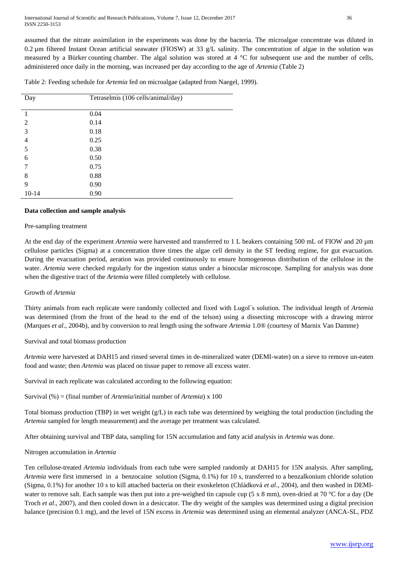assumed that the nitrate assimilation in the experiments was done by the bacteria. The microalgae concentrate was diluted in 0.2 µm filtered Instant Ocean artificial seawater (FIOSW) at 33 g/L salinity. The concentration of algae in the solution was measured by a Bürker counting chamber. The algal solution was stored at 4 °C for subsequent use and the number of cells, administered once daily in the morning, was increased per day according to the age of *Artemia* (Table 2)

Table 2: Feeding schedule for *Artemia* fed on microalgae (adapted from Naegel, 1999).

| Day       | Tetraselmis (106 cells/animal/day) |
|-----------|------------------------------------|
|           |                                    |
|           | 0.04                               |
| 2         | 0.14                               |
| 3         | 0.18                               |
| 4         | 0.25                               |
| 5         | 0.38                               |
| 6         | 0.50                               |
| 7         | 0.75                               |
| 8         | 0.88                               |
| 9         | 0.90                               |
| $10 - 14$ | 0.90                               |

## **Data collection and sample analysis**

## Pre-sampling treatment

At the end day of the experiment *Artemia* were harvested and transferred to 1 L beakers containing 500 mL of FIOW and 20 µm cellulose particles (Sigma) at a concentration three times the algae cell density in the ST feeding regime, for gut evacuation. During the evacuation period, aeration was provided continuously to ensure homogeneous distribution of the cellulose in the water. *Artemia* were checked regularly for the ingestion status under a binocular microscope. Sampling for analysis was done when the digestive tract of the *Artemia* were filled completely with cellulose.

## Growth of *Artemia*

Thirty animals from each replicate were randomly collected and fixed with Lugol´s solution. The individual length of *Artemia* was determined (from the front of the head to the end of the telson) using a dissecting microscope with a drawing mirror (Marques *et al*., 2004b), and by conversion to real length using the software *Artemia* 1.0® (courtesy of Marnix Van Damme)

# Survival and total biomass production

*Artemia* were harvested at DAH15 and rinsed several times in de-mineralized water (DEMI-water) on a sieve to remove un-eaten food and waste; then *Artemia* was placed on tissue paper to remove all excess water.

Survival in each replicate was calculated according to the following equation:

Survival (%) = (final number of *Artemia*/initial number of *Artemia*) x 100

Total biomass production (TBP) in wet weight (g/L) in each tube was determined by weighing the total production (including the *Artemia* sampled for length measurement) and the average per treatment was calculated.

After obtaining survival and TBP data, sampling for 15N accumulation and fatty acid analysis in *Artemia* was done.

# Nitrogen accumulation in *Artemia*

Ten cellulose-treated *Artemia* individuals from each tube were sampled randomly at DAH15 for 15N analysis. After sampling, *Artemia* were first immersed in a benzocaine solution (Sigma, 0.1%) for 10 s, transferred to a benzalkonium chloride solution (Sigma, 0.1%) for another 10 s to kill attached bacteria on their exoskeleton (Chládková *et al*., 2004), and then washed in DEMIwater to remove salt. Each sample was then put into a pre-weighed tin capsule cup (5 x 8 mm), oven-dried at 70 °C for a day (De Troch *et al*., 2007), and then cooled down in a desiccator. The dry weight of the samples was determined using a digital precision balance (precision 0.1 mg), and the level of 15N excess in *Artemia* was determined using an elemental analyzer (ANCA-SL, PDZ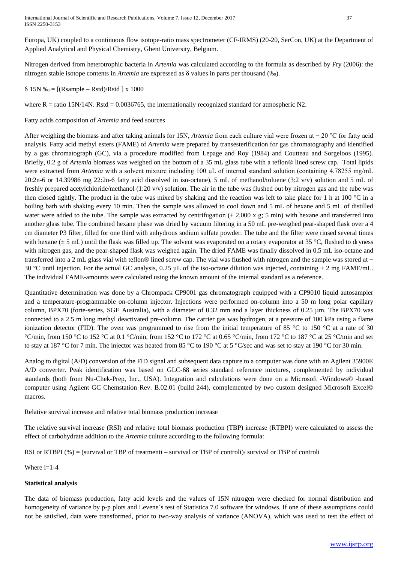International Journal of Scientific and Research Publications, Volume 7, Issue 12, December 2017 37 ISSN 2250-3153

Europa, UK) coupled to a continuous flow isotope-ratio mass spectrometer (CF-IRMS) (20-20, SerCon, UK) at the Department of Applied Analytical and Physical Chemistry, Ghent University, Belgium.

Nitrogen derived from heterotrophic bacteria in *Artemia* was calculated according to the formula as described by Fry (2006): the nitrogen stable isotope contents in *Artemia* are expressed as δ values in parts per thousand (‰).

δ 15N ‰ = [(Rsample – Rstd)/Rstd ] x 1000

where  $R =$  ratio 15N/14N. Rstd = 0.0036765, the internationally recognized standard for atmospheric N2.

Fatty acids composition of *Artemia* and feed sources

After weighing the biomass and after taking animals for 15N, *Artemia* from each culture vial were frozen at − 20 °C for fatty acid analysis. Fatty acid methyl esters (FAME) of *Artemia* were prepared by transesterification for gas chromatography and identified by a gas chromatograph (GC), via a procedure modified from Lepage and Roy (1984) and Coutteau and Sorgeloos (1995). Briefly, 0.2 g of *Artemia* biomass was weighed on the bottom of a 35 mL glass tube with a teflon® lined screw cap. Total lipids were extracted from *Artemia* with a solvent mixture including 100 μL of internal standard solution (containing 4.78255 mg/mL 20:2n-6 or 14.39986 mg 22:2n-6 fatty acid dissolved in iso-octane), 5 mL of methanol/toluene  $(3:2 \text{ v/v})$  solution and 5 mL of freshly prepared acetylchloride/methanol (1:20 v/v) solution. The air in the tube was flushed out by nitrogen gas and the tube was then closed tightly. The product in the tube was mixed by shaking and the reaction was left to take place for 1 h at 100 °C in a boiling bath with shaking every 10 min. Then the sample was allowed to cool down and 5 mL of hexane and 5 mL of distilled water were added to the tube. The sample was extracted by centrifugation  $(\pm 2,000 \text{ x g}; 5 \text{ min})$  with hexane and transferred into another glass tube. The combined hexane phase was dried by vacuum filtering in a 50 mL pre-weighed pear-shaped flask over a 4 cm diameter P3 filter, filled for one third with anhydrous sodium sulfate powder. The tube and the filter were rinsed several times with hexane  $(\pm 5 \text{ mL})$  until the flask was filled up. The solvent was evaporated on a rotary evaporator at 35 °C, flushed to dryness with nitrogen gas, and the pear-shaped flask was weighed again. The dried FAME was finally dissolved in 0.5 mL iso-octane and transferred into a 2 mL glass vial with teflon® lined screw cap. The vial was flushed with nitrogen and the sample was stored at − 30 °C until injection. For the actual GC analysis, 0.25 µL of the iso-octane dilution was injected, containing  $\pm$  2 mg FAME/mL. The individual FAME-amounts were calculated using the known amount of the internal standard as a reference.

Quantitative determination was done by a Chrompack CP9001 gas chromatograph equipped with a CP9010 liquid autosampler and a temperature-programmable on-column injector. Injections were performed on-column into a 50 m long polar capillary column, BPX70 (forte-series, SGE Australia), with a diameter of 0.32 mm and a layer thickness of 0.25 µm. The BPX70 was connected to a 2.5 m long methyl deactivated pre-column. The carrier gas was hydrogen, at a pressure of 100 kPa using a flame ionization detector (FID). The oven was programmed to rise from the initial temperature of 85 °C to 150 °C at a rate of 30 °C/min, from 150 °C to 152 °C at 0.1 °C/min, from 152 °C to 172 °C at 0.65 °C/min, from 172 °C to 187 °C at 25 °C/min and set to stay at 187 °C for 7 min. The injector was heated from 85 °C to 190 °C at 5 °C/sec and was set to stay at 190 °C for 30 min.

Analog to digital (A/D) conversion of the FID signal and subsequent data capture to a computer was done with an Agilent 35900E A/D converter. Peak identification was based on GLC-68 series standard reference mixtures, complemented by individual standards (both from Nu-Chek-Prep, Inc., USA). Integration and calculations were done on a Microsoft -Windows© -based computer using Agilent GC Chemstation Rev. B.02.01 (build 244), complemented by two custom designed Microsoft Excel© macros.

Relative survival increase and relative total biomass production increase

The relative survival increase (RSI) and relative total biomass production (TBP) increase (RTBPI) were calculated to assess the effect of carbohydrate addition to the *Artemia* culture according to the following formula:

RSI or RTBPI (%) = (survival or TBP of treatmenti – survival or TBP of controli)/ survival or TBP of controli

Where  $i=1-4$ 

# **Statistical analysis**

The data of biomass production, fatty acid levels and the values of 15N nitrogen were checked for normal distribution and homogeneity of variance by p-p plots and Levene's test of Statistica 7.0 software for windows. If one of these assumptions could not be satisfied, data were transformed, prior to two-way analysis of variance (ANOVA), which was used to test the effect of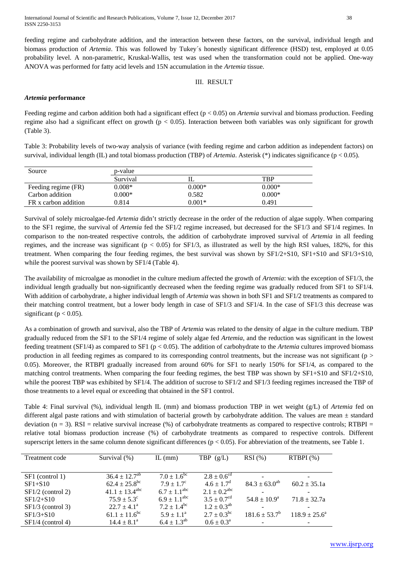feeding regime and carbohydrate addition, and the interaction between these factors, on the survival, individual length and biomass production of *Artemia*. This was followed by Tukey´s honestly significant difference (HSD) test, employed at 0.05 probability level. A non-parametric, Kruskal-Wallis, test was used when the transformation could not be applied. One-way ANOVA was performed for fatty acid levels and 15N accumulation in the *Artemia* tissue.

# III. RESULT

## *Artemia* **performance**

Feeding regime and carbon addition both had a significant effect (p < 0.05) on *Artemia* survival and biomass production. Feeding regime also had a significant effect on growth ( $p < 0.05$ ). Interaction between both variables was only significant for growth (Table 3).

Table 3: Probability levels of two-way analysis of variance (with feeding regime and carbon addition as independent factors) on survival, individual length (IL) and total biomass production (TBP) of *Artemia*. Asterisk (\*) indicates significance (p < 0.05).

| Source               | p-value  |          |          |  |  |  |  |  |
|----------------------|----------|----------|----------|--|--|--|--|--|
|                      | Survival |          | TBP      |  |  |  |  |  |
| Feeding regime (FR)  | $0.008*$ | $0.000*$ | $0.000*$ |  |  |  |  |  |
| Carbon addition      | $0.000*$ | 0.582    | $0.000*$ |  |  |  |  |  |
| FR x carbon addition | 0.814    | $0.001*$ | 0.491    |  |  |  |  |  |

Survival of solely microalgae-fed *Artemia* didn't strictly decrease in the order of the reduction of algae supply. When comparing to the SF1 regime, the survival of *Artemia* fed the SF1/2 regime increased, but decreased for the SF1/3 and SF1/4 regimes. In comparison to the non-treated respective controls, the addition of carbohydrate improved survival of *Artemia* in all feeding regimes, and the increase was significant ( $p < 0.05$ ) for SF1/3, as illustrated as well by the high RSI values, 182%, for this treatment. When comparing the four feeding regimes, the best survival was shown by SF1/2+S10, SF1+S10 and SF1/3+S10, while the poorest survival was shown by SF1/4 (Table 4).

The availability of microalgae as monodiet in the culture medium affected the growth of *Artemia*: with the exception of SF1/3, the individual length gradually but non-significantly decreased when the feeding regime was gradually reduced from SF1 to SF1/4. With addition of carbohydrate, a higher individual length of *Artemia* was shown in both SF1 and SF1/2 treatments as compared to their matching control treatment, but a lower body length in case of SF1/3 and SF1/4. In the case of SF1/3 this decrease was significant ( $p < 0.05$ ).

As a combination of growth and survival, also the TBP of *Artemia* was related to the density of algae in the culture medium. TBP gradually reduced from the SF1 to the SF1/4 regime of solely algae fed *Artemia*, and the reduction was significant in the lowest feeding treatment (SF1/4) as compared to SF1 (p < 0.05). The addition of carbohydrate to the *Artemia* cultures improved biomass production in all feeding regimes as compared to its corresponding control treatments, but the increase was not significant ( $p >$ 0.05). Moreover, the RTBPI gradually increased from around 60% for SF1 to nearly 150% for SF1/4, as compared to the matching control treatments. When comparing the four feeding regimes, the best TBP was shown by SF1+S10 and SF1/2+S10, while the poorest TBP was exhibited by SF1/4. The addition of sucrose to SF1/2 and SF1/3 feeding regimes increased the TBP of those treatments to a level equal or exceeding that obtained in the SF1 control.

Table 4: Final survival (%), individual length IL (mm) and biomass production TBP in wet weight (g/L) of *Artemia* fed on different algal paste rations and with stimulation of bacterial growth by carbohydrate addition. The values are mean  $\pm$  standard deviation  $(n = 3)$ . RSI = relative survival increase (%) of carbohydrate treatments as compared to respective controls; RTBPI = relative total biomass production increase (%) of carbohydrate treatments as compared to respective controls. Different superscript letters in the same column denote significant differences (p < 0.05). For abbreviation of the treatments, see Table 1.

| Treatment code      | Survival (%)                    | IL $(mm)$               | TBP $(g/L)$                 | $RSI(\%)$               | RTBPI(%)         |
|---------------------|---------------------------------|-------------------------|-----------------------------|-------------------------|------------------|
|                     |                                 |                         |                             |                         |                  |
| SF1 (control 1)     | $36.4 \pm 12.7^{\overline{ab}}$ | $7.0 \pm 1.6^{\rm bc}$  | $2.8 \pm 0.6^{\text{cd}}$   |                         |                  |
| $SF1+S10$           | $62.4 \pm 25.8$ <sup>bc</sup>   | $7.9 \pm 1.7^{\circ}$   | $4.6 \pm 1.7^{\rm d}$       | $84.3 \pm 63.0^{ab}$    | $60.2 \pm 35.1a$ |
| $SF1/2$ (control 2) | $41.1 \pm 13.4^{\text{abc}}$    | $6.7 \pm 1.1^{\rm abc}$ | $2.1 \pm 0.2^{\text{abc}}$  |                         |                  |
| $SF1/2+S10$         | $75.9 \pm 5.3^{\circ}$          | $6.9 \pm 1.1^{\rm abc}$ | $3.5 \pm 0.7$ <sup>cd</sup> | $54.8 \pm 10.9^{\circ}$ | $71.8 \pm 32.7a$ |
| $SF1/3$ (control 3) | $22.7 \pm 4.1^{\circ}$          | $7.2 \pm 1.4^{\rm bc}$  | $1.2 \pm 0.3^{ab}$          |                         |                  |
| $SF1/3 + S10$       | $61.1 \pm 11.6$ <sup>bc</sup>   | $5.9 \pm 1.1^a$         | $2.7 \pm 0.3^{bc}$          | $181.6 \pm 53.7^b$      | $118.9 + 25.6^a$ |
| $SF1/4$ (control 4) | $14.4 \pm 8.1^{\circ}$          | $6.4 \pm 1.3^{ab}$      | $0.6 \pm 0.3^{\text{a}}$    |                         |                  |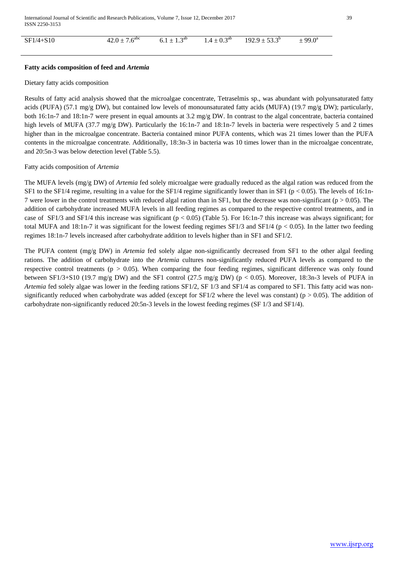| $SF1/4 + S10$ | $42.0 \pm 7.6$ <sup>abc</sup> | $\triangle$ ab<br>$6.1 \pm$<br>$+1.5$ | $\triangle$ ab<br>$14+0^4$<br>$\pm 0.3$<br>. <u>. .</u> | $192.9 \pm 53.3^{\circ}$ | $\pm 99.0^{\circ}$ |
|---------------|-------------------------------|---------------------------------------|---------------------------------------------------------|--------------------------|--------------------|
|               |                               |                                       |                                                         |                          |                    |

## **Fatty acids composition of feed and** *Artemia*

## Dietary fatty acids composition

Results of fatty acid analysis showed that the microalgae concentrate, Tetraselmis sp., was abundant with polyunsaturated fatty acids (PUFA) (57.1 mg/g DW), but contained low levels of monounsaturated fatty acids (MUFA) (19.7 mg/g DW); particularly, both 16:1n-7 and 18:1n-7 were present in equal amounts at 3.2 mg/g DW. In contrast to the algal concentrate, bacteria contained high levels of MUFA (37.7 mg/g DW). Particularly the 16:1n-7 and 18:1n-7 levels in bacteria were respectively 5 and 2 times higher than in the microalgae concentrate. Bacteria contained minor PUFA contents, which was 21 times lower than the PUFA contents in the microalgae concentrate. Additionally, 18:3n-3 in bacteria was 10 times lower than in the microalgae concentrate, and 20:5n-3 was below detection level (Table 5.5).

## Fatty acids composition of *Artemia*

The MUFA levels (mg/g DW) of *Artemia* fed solely microalgae were gradually reduced as the algal ration was reduced from the SF1 to the SF1/4 regime, resulting in a value for the SF1/4 regime significantly lower than in SF1 ( $p < 0.05$ ). The levels of 16:1n-7 were lower in the control treatments with reduced algal ration than in SF1, but the decrease was non-significant ( $p > 0.05$ ). The addition of carbohydrate increased MUFA levels in all feeding regimes as compared to the respective control treatments, and in case of SF1/3 and SF1/4 this increase was significant ( $p < 0.05$ ) (Table 5). For 16:1n-7 this increase was always significant; for total MUFA and 18:1n-7 it was significant for the lowest feeding regimes  $SF1/3$  and  $SF1/4$  (p < 0.05). In the latter two feeding regimes 18:1n-7 levels increased after carbohydrate addition to levels higher than in SF1 and SF1/2.

The PUFA content (mg/g DW) in *Artemia* fed solely algae non-significantly decreased from SF1 to the other algal feeding rations. The addition of carbohydrate into the *Artemia* cultures non-significantly reduced PUFA levels as compared to the respective control treatments ( $p > 0.05$ ). When comparing the four feeding regimes, significant difference was only found between SF1/3+S10 (19.7 mg/g DW) and the SF1 control (27.5 mg/g DW) ( $p < 0.05$ ). Moreover, 18:3n-3 levels of PUFA in *Artemia* fed solely algae was lower in the feeding rations SF1/2, SF 1/3 and SF1/4 as compared to SF1. This fatty acid was nonsignificantly reduced when carbohydrate was added (except for  $SF1/2$  where the level was constant) (p > 0.05). The addition of carbohydrate non-significantly reduced 20:5n-3 levels in the lowest feeding regimes (SF 1/3 and SF1/4).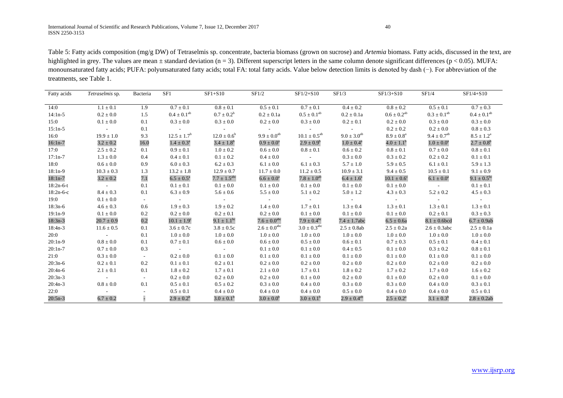Table 5: Fatty acids composition (mg/g DW) of Tetraselmis sp. concentrate, bacteria biomass (grown on sucrose) and *Artemia* biomass. Fatty acids, discussed in the text, are highlighted in grey. The values are mean  $\pm$  standard deviation (n = 3). Different superscript letters in the same column denote significant differences (p < 0.05). MUFA: monounsaturated fatty acids; PUFA: polyunsaturated fatty acids; total FA: total fatty acids. Value below detection limits is denoted by dash (−). For abbreviation of the treatments, see Table 1.

| Fatty acids | Tetraselmis sp.          | Bacteria | SF1                      | $SF1+S10$                                                                           | SF1/2                   | $SF1/2 + S10$              | SF1/3                    | $SF1/3 + S10$                                        | SF1/4                                                       | $SF1/4 + S10$           |
|-------------|--------------------------|----------|--------------------------|-------------------------------------------------------------------------------------|-------------------------|----------------------------|--------------------------|------------------------------------------------------|-------------------------------------------------------------|-------------------------|
|             |                          |          |                          |                                                                                     |                         |                            |                          |                                                      |                                                             |                         |
| 14:0        | $1.1 \pm 0.1$            | 1.9      | $0.7 \pm 0.1$            | $0.8 \pm 0.1$                                                                       | $0.5 \pm 0.1$           | $0.7 \pm 0.1$              | $0.4 \pm 0.2$            | $0.8 \pm 0.2$                                        | $0.5 \pm 0.1$                                               | $0.7 \pm 0.3$           |
| $14:1n-5$   | $0.2 \pm 0.0$            | 1.5      | $0.4\pm0.1^{\rm ab}$     | $0.7 \pm 0.2^b$                                                                     | $0.2 \pm 0.1a$          | $0.5 \pm 0.1^{ab}$         | $0.2 \pm 0.1a$           | $0.6 \pm 0.2^{\text{ab}}$                            | $0.3\pm0.1^{\text{ab}}$                                     | $0.4 \pm 0.1^{ab}$      |
| 15:0        | $0.1 \pm 0.0$            | 0.1      | $0.3 \pm 0.0$            | $0.3 \pm 0.0$                                                                       | $0.2 \pm 0.0$           | $0.3 \pm 0.0$              | $0.2 \pm 0.1$            | $0.2 \pm 0.0$                                        | $0.3 \pm 0.0$                                               | $0.3 \pm 0.0$           |
| $15:1n-5$   | <b>Contract Contract</b> | 0.1      | <b>Contractor</b>        | <b>Contractor</b>                                                                   | and the control of      | <b>Contract Contract</b>   | <b>Contract Contract</b> | $0.2 \pm 0.2$                                        | $0.2 \pm 0.0$                                               | $0.8 \pm 0.3$           |
| 16:0        | $19.9 \pm 1.0$           | 9.3      | $12.5 \pm 1.7^b$         | $12.0 \pm 0.6^b$                                                                    | $9.9 \pm 0.0^{ab}$      | $10.1 \pm 0.5^{ab}$        | $9.0 \pm 3.0^{ab}$       | $8.9 \pm 0.8^{\rm a}$                                | $9.4 \pm 0.7^{ab}$                                          | $8.5 \pm 1.2^{\circ}$   |
| $16:1n-7$   | $3.2 \pm 0.2$            | 16.0     | $1.4 \pm 0.3^{\rm a}$    | $3.4 \pm 1.8^b$                                                                     | $0.9 \pm 0.0^{\rm a}$   | $2.9 \pm 0.9^b$            | $1.0 \pm 0.4^a$          | $4.0 \pm 1.1^{\rm b}$                                | $1.0 \pm 0.0^a$                                             | $2.7 \pm 0.8^{\rm b}$   |
| 17:0        | $2.5 \pm 0.2$            | 0.1      | $0.9 \pm 0.1$            | $1.0 \pm 0.2$                                                                       | $0.6 \pm 0.0$           | $0.8 \pm 0.1$              | $0.6\pm0.2$              | $0.8 \pm 0.1$                                        | $0.7 \pm 0.0$                                               | $0.8 \pm 0.1$           |
| $17:1n-7$   | $1.3 \pm 0.0$            | 0.4      | $0.4 \pm 0.1$            | $0.1 \pm 0.2$                                                                       | $0.4 \pm 0.0$           | <b>Contractor</b>          | $0.3 \pm 0.0$            | $0.3 \pm 0.2$                                        | $0.2 \pm 0.2$                                               | $0.1 \pm 0.1$           |
| 18:0        | $0.6 \pm 0.0$            | 0.9      | $6.0 \pm 0.3$            | $6.2 \pm 0.3$                                                                       | $6.1 \pm 0.0$           | $6.1 \pm 0.3$              | $5.7 \pm 1.0$            | $5.9 \pm 0.5$                                        | $6.1 \pm 0.1$                                               | $5.9 \pm 1.3$           |
| $18:1n-9$   | $10.3 \pm 0.3$           | 1.3      | $13.2 \pm 1.8$           | $12.9 \pm 0.7$                                                                      | $11.7 \pm 0.0$          | $11.2 \pm 0.5$             | $10.9 \pm 3.1$           | $9.4 \pm 0.5$                                        | $10.5 \pm 0.1$                                              | $9.1 \pm 0.9$           |
| $18:1n-7$   | $3.2 \pm 0.2$            | 7.1      | $6.5 \pm 0.5^{\text{a}}$ | $7.7 \pm 1.5^{\rm abc}$                                                             | $6.6 \pm 0.0^{\rm a}$   | $7.8 \pm 1.0^{ab}$         | $6.4 \pm 1.6^{\rm a}$    | $10.1\pm0.6^{\circ}$                                 | $6.1 \pm 0.0^{\text{a}}$                                    | $9.1 \pm 0.5^{bc}$      |
| $18:2n-6-t$ | <b>Contractor</b>        | 0.1      | $0.1 \pm 0.1$            | $0.1 \pm 0.0$                                                                       | $0.1 \pm 0.0$           | $0.1 \pm 0.0$              | $0.1 \pm 0.0$            | $0.1 \pm 0.0$                                        | <b>Contractor</b>                                           | $0.1 \pm 0.1$           |
| $18:2n-6-c$ | $8.4 \pm 0.3$            | 0.1      | $6.3 \pm 0.9$            | $5.6 \pm 0.6$                                                                       | $5.5 \pm 0.0$           | $5.1 \pm 0.2$              | $5.0 \pm 1.2$            | $4.3 \pm 0.3$                                        | $5.2 \pm 0.2$                                               | $4.5 \pm 0.3$           |
| 19:0        | $0.1 \pm 0.0$            | $\sim$   | <b>Contractor</b>        | $\mathcal{L}^{\text{max}}_{\text{max}}$ and $\mathcal{L}^{\text{max}}_{\text{max}}$ | <b>Contractor</b>       | <b>Contractor</b>          | <b>Contractor</b>        | $\alpha$ , $\alpha$ , $\alpha$ , $\alpha$ , $\alpha$ | $\mathcal{L}^{\mathcal{L}}$ and $\mathcal{L}^{\mathcal{L}}$ | $\sim 100$ km s $^{-1}$ |
| $18:3n-6$   | $4.6 \pm 0.3$            | 0.6      | $1.9 \pm 0.3$            | $1.9 \pm 0.2$                                                                       | $1.4 \pm 0.0$           | $1.7 \pm 0.1$              | $1.3 \pm 0.4$            | $1.3 \pm 0.1$                                        | $1.3 \pm 0.1$                                               | $1.3 \pm 0.1$           |
| $19:1n-9$   | $0.1 \pm 0.0$            | 0.2      | $0.2 \pm 0.0$            | $0.2 \pm 0.1$                                                                       | $0.2 \pm 0.0$           | $0.1 \pm 0.0$              | $0.1 \pm 0.0$            | $0.1 \pm 0.0$                                        | $0.2 \pm 0.1$                                               | $0.3 \pm 0.3$           |
| $18:3n-3$   | $20.7 \pm 0.9$           | 0.2      | $10.1 \pm 1.9^{\circ}$   | 9.1 $\pm$ 1.1 <sup>bc</sup>                                                         | $7.6 \pm 0.0^{\rm abc}$ | $7.9 \pm 0.4^{\rm bc}$     | $7.4 \pm 1.7$ abc        | $6.5 \pm 0.6a$                                       | $8.1 \pm 0.6$ bcd                                           | $6.7 \pm 0.9$ ab        |
| $18:4n-3$   | $11.6 \pm 0.5$           | 0.1      | $3.6 \pm 0.7c$           | $3.8 \pm 0.5c$                                                                      | $2.6 \pm 0.0^{\rm abc}$ | $3.0 \pm 0.3^{\text{abc}}$ | $2.5 \pm 0.8$ ab         | $2.5 \pm 0.2a$                                       | $2.6 \pm 0.3$ abc                                           | $2.5 \pm 0.1a$          |
| 20:0        | <b>Contact</b>           | 0.1      | $1.0 \pm 0.0$            | $1.0 \pm 0.0$                                                                       | $1.0 \pm 0.0$           | $1.0 \pm 0.0$              | $1.0 \pm 0.0$            | $1.0 \pm 0.0$                                        | $1.0 \pm 0.0$                                               | $1.0 \pm 0.0$           |
| $20:1n-9$   | $0.8 \pm 0.0$            | 0.1      | $0.7 \pm 0.1$            | $0.6 \pm 0.0$                                                                       | $0.6 \pm 0.0$           | $0.5 \pm 0.0$              | $0.6 \pm 0.1$            | $0.7 \pm 0.3$                                        | $0.5 \pm 0.1$                                               | $0.4 \pm 0.1$           |
| $20:1n-7$   | $0.7 \pm 0.0$            | 0.3      | and the control          | <b>Contract Contract</b>                                                            | $0.1 \pm 0.0$           | $0.1 \pm 0.0$              | $0.4 \pm 0.5$            | $0.1 \pm 0.0$                                        | $0.3 \pm 0.2$                                               | $0.8 \pm 0.1$           |
| 21:0        | $0.3 \pm 0.0$            | $\sim$   | $0.2 \pm 0.0$            | $0.1 \pm 0.0$                                                                       | $0.1 \pm 0.0$           | $0.1 \pm 0.0$              | $0.1 \pm 0.0$            | $0.1 \pm 0.0$                                        | $0.1 \pm 0.0$                                               | $0.1 \pm 0.0$           |
| $20:3n-6$   | $0.2 \pm 0.1$            | 0.2      | $0.1 \pm 0.1$            | $0.2 \pm 0.1$                                                                       | $0.2 \pm 0.0$           | $0.2 \pm 0.0$              | $0.2 \pm 0.0$            | $0.2 \pm 0.0$                                        | $0.2 \pm 0.0$                                               | $0.2 \pm 0.0$           |
| $20:4n-6$   | $2.1 \pm 0.1$            | 0.1      | $1.8 \pm 0.2$            | $1.7 \pm 0.1$                                                                       | $2.1 \pm 0.0$           | $1.7 \pm 0.1$              | $1.8 \pm 0.2$            | $1.7 \pm 0.2$                                        | $1.7 \pm 0.0$                                               | $1.6 \pm 0.2$           |
| $20:3n-3$   | <b>Contractor</b>        | $\sim$   | $0.2 \pm 0.0$            | $0.2 \pm 0.0$                                                                       | $0.2 \pm 0.0$           | $0.1 \pm 0.0$              | $0.2 \pm 0.0$            | $0.1 \pm 0.0$                                        | $0.2 \pm 0.0$                                               | $0.1 \pm 0.0$           |
| $20:4n-3$   | $0.8 \pm 0.0$            | 0.1      | $0.5 \pm 0.1$            | $0.5 \pm 0.2$                                                                       | $0.3 \pm 0.0$           | $0.4 \pm 0.0$              | $0.3 \pm 0.0$            | $0.3 \pm 0.0$                                        | $0.4 \pm 0.0$                                               | $0.3 \pm 0.1$           |
| 22:0        | <b>Contract Contract</b> |          | $0.5 \pm 0.1$            | $0.4 \pm 0.0$                                                                       | $0.4 \pm 0.0$           | $0.4 \pm 0.0$              | $0.5 \pm 0.0$            | $0.4 \pm 0.0$                                        | $0.4\pm0.0$                                                 | $0.5 \pm 0.1$           |
| $20:5n-3$   | $6.7 \pm 0.2$            |          | $2.9 \pm 0.2^b$          | $3.0 \pm 0.1^{\rm b}$                                                               | $3.0 \pm 0.0^{\rm b}$   | $3.0 \pm 0.1^{\rm b}$      | $2.9 \pm 0.4^{ab}$       | $2.5 \pm 0.2^{\circ}$                                | $3.1 \pm 0.3^b$                                             | $2.8 \pm 0.2$ ab        |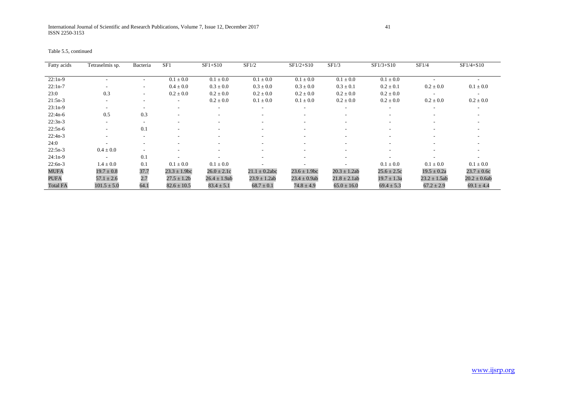| Table 5.5, continued |  |  |  |
|----------------------|--|--|--|
|----------------------|--|--|--|

| Fatty acids     | Tetraselmis sp.          | Bacteria                     | SF1               | $SF1+S10$                | SF1/2                    | $SF1/2 + S10$            | SF1/3                    | $SF1/3 + S10$            | SF1/4                    | $SF1/4 + S10$     |
|-----------------|--------------------------|------------------------------|-------------------|--------------------------|--------------------------|--------------------------|--------------------------|--------------------------|--------------------------|-------------------|
|                 |                          |                              |                   |                          |                          |                          |                          |                          |                          |                   |
| $22:1n-9$       |                          | ۰                            | $0.1 \pm 0.0$     | $0.1 \pm 0.0$            | $0.1 \pm 0.0$            | $0.1 \pm 0.0$            | $0.1 \pm 0.0$            | $0.1 \pm 0.0$            |                          |                   |
| $22:1n-7$       | $\sim$                   | $\qquad \qquad \blacksquare$ | $0.4 \pm 0.0$     | $0.3 \pm 0.0$            | $0.3 \pm 0.0$            | $0.3 \pm 0.0$            | $0.3 \pm 0.1$            | $0.2 \pm 0.1$            | $0.2 \pm 0.0$            | $0.1 \pm 0.0$     |
| 23:0            | 0.3                      | $\overline{\phantom{0}}$     | $0.2 \pm 0.0$     | $0.2 \pm 0.0$            | $0.2 \pm 0.0$            | $0.2 \pm 0.0$            | $0.2 \pm 0.0$            | $0.2 \pm 0.0$            | $\overline{\phantom{a}}$ |                   |
| $21:5n-3$       |                          | ۰                            |                   | $0.2 \pm 0.0$            | $0.1 \pm 0.0$            | $0.1 \pm 0.0$            | $0.2 \pm 0.0$            | $0.2 \pm 0.0$            | $0.2 \pm 0.0$            | $0.2 \pm 0.0$     |
| $23:1n-9$       | $\overline{\phantom{0}}$ | $\overline{\phantom{a}}$     |                   | $\overline{\phantom{a}}$ |                          | $\overline{\phantom{a}}$ |                          |                          | $\overline{\phantom{a}}$ |                   |
| $22:4n-6$       | 0.5                      | 0.3                          |                   | $\overline{\phantom{a}}$ | ٠                        | $\overline{\phantom{a}}$ | $\overline{\phantom{a}}$ | $\sim$                   | $\overline{\phantom{a}}$ |                   |
| $22:3n-3$       | $\overline{\phantom{a}}$ | $\overline{\phantom{a}}$     |                   | ۰                        |                          | $\overline{\phantom{a}}$ |                          |                          |                          |                   |
| $22:5n-6$       |                          | 0.1                          |                   | ۰                        |                          |                          |                          |                          |                          |                   |
| $22:4n-3$       |                          | $\overline{\phantom{a}}$     |                   | ۰                        |                          |                          |                          | $\overline{\phantom{a}}$ |                          |                   |
| 24:0            | $\overline{\phantom{a}}$ | ۰                            |                   | $\sim$                   | $\overline{\phantom{a}}$ | $\overline{\phantom{a}}$ | $\overline{\phantom{a}}$ | $\sim$                   | $\overline{\phantom{a}}$ |                   |
| $22:5n-3$       | $0.4 \pm 0.0$            | $\overline{\phantom{a}}$     |                   | ۰                        |                          | $\overline{\phantom{a}}$ |                          |                          | $\overline{\phantom{a}}$ |                   |
| $24:1n-9$       | $\sim$                   | 0.1                          |                   |                          | ٠                        |                          |                          |                          |                          |                   |
| $22:6n-3$       | $1.4 \pm 0.0$            | 0.1                          | $0.1 \pm 0.0$     | $0.1 \pm 0.0$            |                          |                          |                          | $0.1 \pm 0.0$            | $0.1 \pm 0.0$            | $0.1 \pm 0.0$     |
| <b>MUFA</b>     | $19.7 \pm 0.8$           | 37.7                         | $23.3 \pm 1.9$ bc | $26.0 \pm 2.1c$          | $21.1 \pm 0.2$ abc       | $23.6 \pm 1.9$ bc        | $20.3 \pm 1.2$ ab        | $25.6 \pm 2.5c$          | $19.5 \pm 0.2a$          | $23.7 \pm 0.6c$   |
| <b>PUFA</b>     | $57.1 \pm 2.6$           | 2.7                          | $27.5 \pm 1.2b$   | $26.4 \pm 1.9$ ab        | $23.9 \pm 1.2ab$         | $23.4 \pm 0.9$ ab        | $21.8 \pm 2.1$ ab        | $19.7 \pm 1.3a$          | $23.2 \pm 1.5$ ab        | $20.2 \pm 0.6$ ab |
| <b>Total FA</b> | $101.5 \pm 5.0$          | 64.1                         | $82.6 \pm 10.5$   | $83.4 \pm 5.1$           | $68.7 \pm 0.1$           | $74.8 \pm 4.9$           | $65.0 \pm 16.0$          | $69.4 \pm 5.3$           | $67.2 \pm 2.9$           | $69.1 \pm 4.4$    |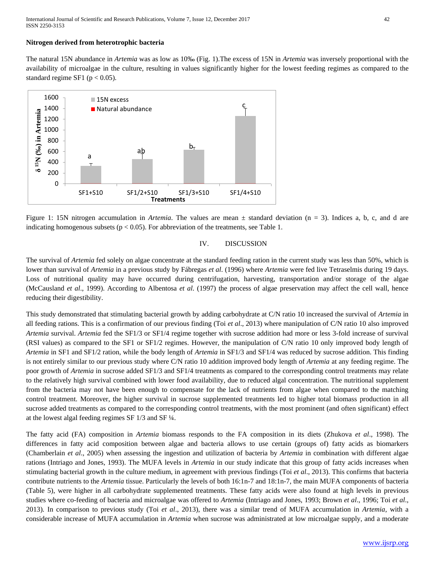## **Nitrogen derived from heterotrophic bacteria**

The natural 15N abundance in *Artemia* was as low as 10‰ (Fig. 1).The excess of 15N in *Artemia* was inversely proportional with the availability of microalgae in the culture, resulting in values significantly higher for the lowest feeding regimes as compared to the standard regime SF1 ( $p < 0.05$ ).



Figure 1: 15N nitrogen accumulation in *Artemia*. The values are mean  $\pm$  standard deviation (n = 3). Indices a, b, c, and d are indicating homogenous subsets ( $p < 0.05$ ). For abbreviation of the treatments, see Table 1.

#### IV. DISCUSSION

The survival of *Artemia* fed solely on algae concentrate at the standard feeding ration in the current study was less than 50%, which is lower than survival of *Artemia* in a previous study by Fábregas *et al*. (1996) where *Artemia* were fed live Tetraselmis during 19 days. Loss of nutritional quality may have occurred during centrifugation, harvesting, transportation and/or storage of the algae (McCausland *et al*., 1999). According to Albentosa *et al*. (1997) the process of algae preservation may affect the cell wall, hence reducing their digestibility.

This study demonstrated that stimulating bacterial growth by adding carbohydrate at C/N ratio 10 increased the survival of *Artemia* in all feeding rations. This is a confirmation of our previous finding (Toi *et al*., 2013) where manipulation of C/N ratio 10 also improved *Artemia* survival. *Artemia* fed the SF1/3 or SF1/4 regime together with sucrose addition had more or less 3-fold increase of survival (RSI values) as compared to the SF1 or SF1/2 regimes. However, the manipulation of C/N ratio 10 only improved body length of *Artemia* in SF1 and SF1/2 ration, while the body length of *Artemia* in SF1/3 and SF1/4 was reduced by sucrose addition. This finding is not entirely similar to our previous study where C/N ratio 10 addition improved body length of *Artemia* at any feeding regime. The poor growth of *Artemia* in sucrose added SF1/3 and SF1/4 treatments as compared to the corresponding control treatments may relate to the relatively high survival combined with lower food availability, due to reduced algal concentration. The nutritional supplement from the bacteria may not have been enough to compensate for the lack of nutrients from algae when compared to the matching control treatment. Moreover, the higher survival in sucrose supplemented treatments led to higher total biomass production in all sucrose added treatments as compared to the corresponding control treatments, with the most prominent (and often significant) effect at the lowest algal feeding regimes SF 1/3 and SF ¼.

The fatty acid (FA) composition in *Artemia* biomass responds to the FA composition in its diets (Zhukova *et al*., 1998). The differences in fatty acid composition between algae and bacteria allows to use certain (groups of) fatty acids as biomarkers (Chamberlain *et al*., 2005) when assessing the ingestion and utilization of bacteria by *Artemia* in combination with different algae rations (Intriago and Jones, 1993). The MUFA levels in *Artemia* in our study indicate that this group of fatty acids increases when stimulating bacterial growth in the culture medium, in agreement with previous findings (Toi *et al*., 2013). This confirms that bacteria contribute nutrients to the *Artemia* tissue. Particularly the levels of both 16:1n-7 and 18:1n-7, the main MUFA components of bacteria (Table 5), were higher in all carbohydrate supplemented treatments. These fatty acids were also found at high levels in previous studies where co-feeding of bacteria and microalgae was offered to *Artemia* (Intriago and Jones, 1993; Brown *et al*., 1996; Toi *et al*., 2013). In comparison to previous study (Toi *et al*., 2013), there was a similar trend of MUFA accumulation in *Artemia*, with a considerable increase of MUFA accumulation in *Artemia* when sucrose was administrated at low microalgae supply, and a moderate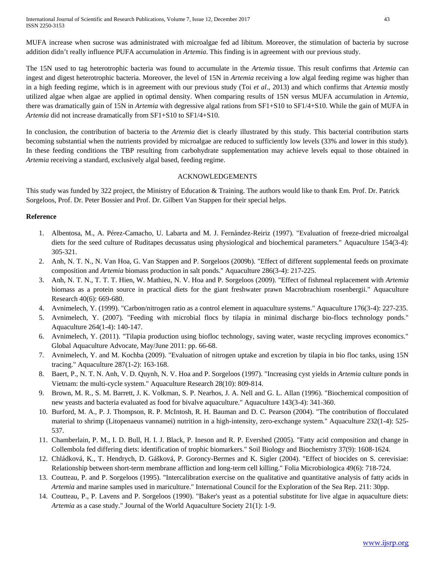International Journal of Scientific and Research Publications, Volume 7, Issue 12, December 2017 43 ISSN 2250-3153

MUFA increase when sucrose was administrated with microalgae fed ad libitum. Moreover, the stimulation of bacteria by sucrose addition didn't really influence PUFA accumulation in *Artemia*. This finding is in agreement with our previous study.

The 15N used to tag heterotrophic bacteria was found to accumulate in the *Artemia* tissue. This result confirms that *Artemia* can ingest and digest heterotrophic bacteria. Moreover, the level of 15N in *Artemia* receiving a low algal feeding regime was higher than in a high feeding regime, which is in agreement with our previous study (Toi *et al*., 2013) and which confirms that *Artemia* mostly utilized algae when algae are applied in optimal density. When comparing results of 15N versus MUFA accumulation in *Artemia*, there was dramatically gain of 15N in *Artemia* with degressive algal rations from SF1+S10 to SF1/4+S10. While the gain of MUFA in *Artemia* did not increase dramatically from SF1+S10 to SF1/4+S10.

In conclusion, the contribution of bacteria to the *Artemia* diet is clearly illustrated by this study. This bacterial contribution starts becoming substantial when the nutrients provided by microalgae are reduced to sufficiently low levels (33% and lower in this study). In these feeding conditions the TBP resulting from carbohydrate supplementation may achieve levels equal to those obtained in *Artemia* receiving a standard, exclusively algal based, feeding regime.

#### ACKNOWLEDGEMENTS

This study was funded by 322 project, the Ministry of Education & Training. The authors would like to thank Em. Prof. Dr. Patrick Sorgeloos, Prof. Dr. Peter Bossier and Prof. Dr. Gilbert Van Stappen for their special helps.

## **Reference**

- 1. Albentosa, M., A. Pérez-Camacho, U. Labarta and M. J. Fernández-Reiriz (1997). "Evaluation of freeze-dried microalgal diets for the seed culture of Ruditapes decussatus using physiological and biochemical parameters." Aquaculture 154(3-4): 305-321.
- 2. Anh, N. T. N., N. Van Hoa, G. Van Stappen and P. Sorgeloos (2009b). "Effect of different supplemental feeds on proximate composition and *Artemia* biomass production in salt ponds." Aquaculture 286(3-4): 217-225.
- 3. Anh, N. T. N., T. T. T. Hien, W. Mathieu, N. V. Hoa and P. Sorgeloos (2009). "Effect of fishmeal replacement with *Artemia* biomass as a protein source in practical diets for the giant freshwater prawn Macrobrachium rosenbergii." Aquaculture Research 40(6): 669-680.
- 4. Avnimelech, Y. (1999). "Carbon/nitrogen ratio as a control element in aquaculture systems." Aquaculture 176(3-4): 227-235.
- 5. Avnimelech, Y. (2007). "Feeding with microbial flocs by tilapia in minimal discharge bio-flocs technology ponds." Aquaculture 264(1-4): 140-147.
- 6. Avnimelech, Y. (2011). "Tilapia production using biofloc technology, saving water, waste recycling improves economics." Global Aquaculture Advocate, May/June 2011: pp. 66-68.
- 7. Avnimelech, Y. and M. Kochba (2009). "Evaluation of nitrogen uptake and excretion by tilapia in bio floc tanks, using 15N tracing." Aquaculture 287(1-2): 163-168.
- 8. Baert, P., N. T. N. Anh, V. D. Quynh, N. V. Hoa and P. Sorgeloos (1997). "Increasing cyst yields in *Artemia* culture ponds in Vietnam: the multi-cycle system." Aquaculture Research 28(10): 809-814.
- 9. Brown, M. R., S. M. Barrett, J. K. Volkman, S. P. Nearhos, J. A. Nell and G. L. Allan (1996). "Biochemical composition of new yeasts and bacteria evaluated as food for bivalve aquaculture." Aquaculture 143(3-4): 341-360.
- 10. Burford, M. A., P. J. Thompson, R. P. McIntosh, R. H. Bauman and D. C. Pearson (2004). "The contribution of flocculated material to shrimp (Litopenaeus vannamei) nutrition in a high-intensity, zero-exchange system." Aquaculture 232(1-4): 525- 537.
- 11. Chamberlain, P. M., I. D. Bull, H. I. J. Black, P. Ineson and R. P. Evershed (2005). "Fatty acid composition and change in Collembola fed differing diets: identification of trophic biomarkers." Soil Biology and Biochemistry 37(9): 1608-1624.
- 12. Chládková, K., T. Hendrych, D. Gášková, P. Goroncy-Bermes and K. Sigler (2004). "Effect of biocides on S. cerevisiae: Relationship between short-term membrane affliction and long-term cell killing." Folia Microbiologica 49(6): 718-724.
- 13. Coutteau, P. and P. Sorgeloos (1995). "Intercalibration exercise on the qualitative and quantitative analysis of fatty acids in *Artemia* and marine samples used in mariculture." International Council for the Exploration of the Sea Rep. 211: 30pp.
- 14. Coutteau, P., P. Lavens and P. Sorgeloos (1990). "Baker's yeast as a potential substitute for live algae in aquaculture diets: *Artemia* as a case study." Journal of the World Aquaculture Society 21(1): 1-9.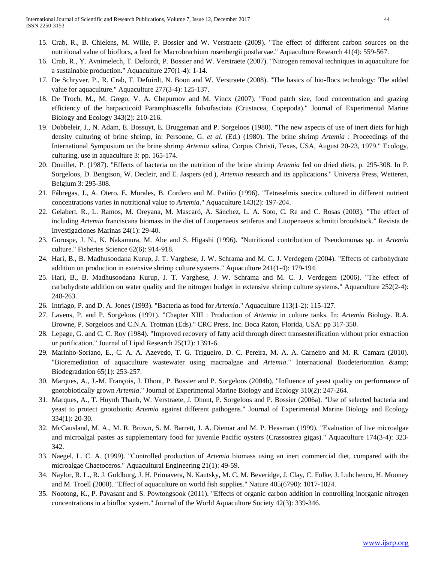- 15. Crab, R., B. Chielens, M. Wille, P. Bossier and W. Verstraete (2009). "The effect of different carbon sources on the nutritional value of bioflocs, a feed for Macrobrachium rosenbergii postlarvae." Aquaculture Research 41(4): 559-567.
- 16. Crab, R., Y. Avnimelech, T. Defoirdt, P. Bossier and W. Verstraete (2007). "Nitrogen removal techniques in aquaculture for a sustainable production." Aquaculture 270(1-4): 1-14.
- 17. De Schryver, P., R. Crab, T. Defoirdt, N. Boon and W. Verstraete (2008). "The basics of bio-flocs technology: The added value for aquaculture." Aquaculture 277(3-4): 125-137.
- 18. De Troch, M., M. Grego, V. A. Chepurnov and M. Vincx (2007). "Food patch size, food concentration and grazing efficiency of the harpacticoid Paramphiascella fulvofasciata (Crustacea, Copepoda)." Journal of Experimental Marine Biology and Ecology 343(2): 210-216.
- 19. Dobbeleir, J., N. Adam, E. Bossuyt, E. Bruggeman and P. Sorgeloos (1980). "The new aspects of use of inert diets for high density culturing of brine shrimp, in: Persoone, G. *et al*. (Ed.) (1980). The brine shrimp *Artemia* : Proceedings of the International Symposium on the brine shrimp *Artemia* salina, Corpus Christi, Texas, USA, August 20-23, 1979." Ecology, culturing, use in aquaculture 3: pp. 165-174.
- 20. Douillet, P. (1987). "Effects of bacteria on the nutrition of the brine shrimp *Artemia* fed on dried diets, p. 295-308. In P. Sorgeloos, D. Bengtson, W. Decleir, and E. Jaspers (ed.), *Artemia* research and its applications." Universa Press, Wetteren, Belgium 3: 295-308.
- 21. Fábregas, J., A. Otero, E. Morales, B. Cordero and M. Patiño (1996). "Tetraselmis suecica cultured in different nutrient concentrations varies in nutritional value to *Artemia*." Aquaculture 143(2): 197-204.
- 22. Gelabert, R., L. Ramos, M. Oreyana, M. Mascaró, A. Sánchez, L. A. Soto, C. Re and C. Rosas (2003). "The effect of including *Artemia* franciscana biomass in the diet of Litopenaeus setiferus and Litopenaeus schmitti broodstock." Revista de Investigaciones Marinas 24(1): 29-40.
- 23. Gorospe, J. N., K. Nakamura, M. Abe and S. Higashi (1996). "Nutritional contribution of Pseudomonas sp. in *Artemia* culture." Fisheries Science 62(6): 914-918.
- 24. Hari, B., B. Madhusoodana Kurup, J. T. Varghese, J. W. Schrama and M. C. J. Verdegem (2004). "Effects of carbohydrate addition on production in extensive shrimp culture systems." Aquaculture 241(1-4): 179-194.
- 25. Hari, B., B. Madhusoodana Kurup, J. T. Varghese, J. W. Schrama and M. C. J. Verdegem (2006). "The effect of carbohydrate addition on water quality and the nitrogen budget in extensive shrimp culture systems." Aquaculture 252(2-4): 248-263.
- 26. Intriago, P. and D. A. Jones (1993). "Bacteria as food for *Artemia*." Aquaculture 113(1-2): 115-127.
- 27. Lavens, P. and P. Sorgeloos (1991). "Chapter XIII : Production of *Artemia* in culture tanks. In: *Artemia* Biology. R.A. Browne, P. Sorgeloos and C.N.A. Trotman (Eds)." CRC Press, Inc. Boca Raton, Florida, USA: pp 317-350.
- 28. Lepage, G. and C. C. Roy (1984). "Improved recovery of fatty acid through direct transesterification without prior extraction or purification." Journal of Lipid Research 25(12): 1391-6.
- 29. Marinho-Soriano, E., C. A. A. Azevedo, T. G. Trigueiro, D. C. Pereira, M. A. A. Carneiro and M. R. Camara (2010). "Bioremediation of aquaculture wastewater using macroalgae and *Artemia*." International Biodeterioration & Biodegradation 65(1): 253-257.
- 30. Marques, A., J.-M. François, J. Dhont, P. Bossier and P. Sorgeloos (2004b). "Influence of yeast quality on performance of gnotobiotically grown *Artemia*." Journal of Experimental Marine Biology and Ecology 310(2): 247-264.
- 31. Marques, A., T. Huynh Thanh, W. Verstraete, J. Dhont, P. Sorgeloos and P. Bossier (2006a). "Use of selected bacteria and yeast to protect gnotobiotic *Artemia* against different pathogens." Journal of Experimental Marine Biology and Ecology 334(1): 20-30.
- 32. McCausland, M. A., M. R. Brown, S. M. Barrett, J. A. Diemar and M. P. Heasman (1999). "Evaluation of live microalgae and microalgal pastes as supplementary food for juvenile Pacific oysters (Crassostrea gigas)." Aquaculture 174(3-4): 323- 342.
- 33. Naegel, L. C. A. (1999). "Controlled production of *Artemia* biomass using an inert commercial diet, compared with the microalgae Chaetoceros." Aquacultural Engineering 21(1): 49-59.
- 34. Naylor, R. L., R. J. Goldburg, J. H. Primavera, N. Kautsky, M. C. M. Beveridge, J. Clay, C. Folke, J. Lubchenco, H. Mooney and M. Troell (2000). "Effect of aquaculture on world fish supplies." Nature 405(6790): 1017-1024.
- 35. Nootong, K., P. Pavasant and S. Powtongsook (2011). "Effects of organic carbon addition in controlling inorganic nitrogen concentrations in a biofloc system." Journal of the World Aquaculture Society 42(3): 339-346.